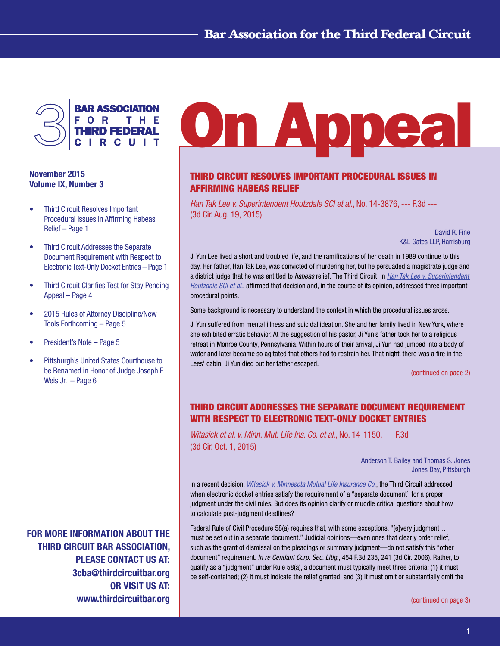

## November 2015 Volume IX, Number 3

- Third Circuit Resolves Important Procedural Issues in Affirming Habeas Relief – Page 1
- • Third Circuit Addresses the Separate Document Requirement with Respect to Electronic Text-Only Docket Entries – Page 1
- **Third Circuit Clarifies Test for Stay Pending** Appeal – Page 4
- • 2015 Rules of Attorney Discipline/New Tools Forthcoming – Page 5
- President's Note Page 5
- Pittsburgh's United States Courthouse to be Renamed in Honor of Judge Joseph F. Weis Jr. – Page 6

FOR MORE INFORMATION ABOUT THE THIRD CIRCUIT BAR ASSOCIATION, PLEASE CONTACT US AT: 3cba@thirdcircuitbar.org OR VISIT US AT: www.thirdcircuitbar.org

# **On Appea**

## THIRD CIRCUIT RESOLVES IMPORTANT PROCEDURAL ISSUES IN AFFIRMING HABEAS RELIEF

*Han Tak Lee v. Superintendent Houtzdale SCI et al*., No. 14-3876, --- F.3d --- (3d Cir. Aug. 19, 2015)

> David R. Fine K&L Gates LLP, Harrisburg

Ji Yun Lee lived a short and troubled life, and the ramifications of her death in 1989 continue to this day. Her father, Han Tak Lee, was convicted of murdering her, but he persuaded a magistrate judge and a district judge that he was entitled to *habeas* relief. The Third Circuit, in *[Han Tak Lee v. Superintendent](http://www2.ca3.uscourts.gov/opinarch/143876p.pdf)  [Houtzdale SCI et al](http://www2.ca3.uscourts.gov/opinarch/143876p.pdf)*., affirmed that decision and, in the course of its opinion, addressed three important procedural points.

Some background is necessary to understand the context in which the procedural issues arose.

Ji Yun suffered from mental illness and suicidal ideation. She and her family lived in New York, where she exhibited erratic behavior. At the suggestion of his pastor, Ji Yun's father took her to a religious retreat in Monroe County, Pennsylvania. Within hours of their arrival, Ji Yun had jumped into a body of water and later became so agitated that others had to restrain her. That night, there was a fire in the Lees' cabin. Ji Yun died but her father escaped.

[\(continued on page 2\)](#page-1-0)

# THIRD CIRCUIT ADDRESSES THE SEPARATE DOCUMENT REQUIREMENT WITH RESPECT TO ELECTRONIC TEXT-ONLY DOCKET ENTRIES

*Witasick et al. v. Minn. Mut. Life Ins. Co. et al*., No. 14-1150, --- F.3d --- (3d Cir. Oct. 1, 2015)

> Anderson T. Bailey and Thomas S. Jones Jones Day, Pittsburgh

In a recent decision, *[Witasick v. Minnesota Mutual Life Insurance Co.](http://www2.ca3.uscourts.gov/opinarch/141150p.pdf)*, the Third Circuit addressed when electronic docket entries satisfy the requirement of a "separate document" for a proper judgment under the civil rules. But does its opinion clarify or muddle critical questions about how to calculate post-judgment deadlines?

Federal Rule of Civil Procedure 58(a) requires that, with some exceptions, "[e]very judgment ... must be set out in a separate document." Judicial opinions—even ones that clearly order relief, such as the grant of dismissal on the pleadings or summary judgment—do not satisfy this "other document" requirement. *In re Cendant Corp. Sec. Litig*., 454 F.3d 235, 241 (3d Cir. 2006). Rather, to qualify as a "judgment" under Rule 58(a), a document must typically meet three criteria: (1) it must be self-contained; (2) it must indicate the relief granted; and (3) it must omit or substantially omit the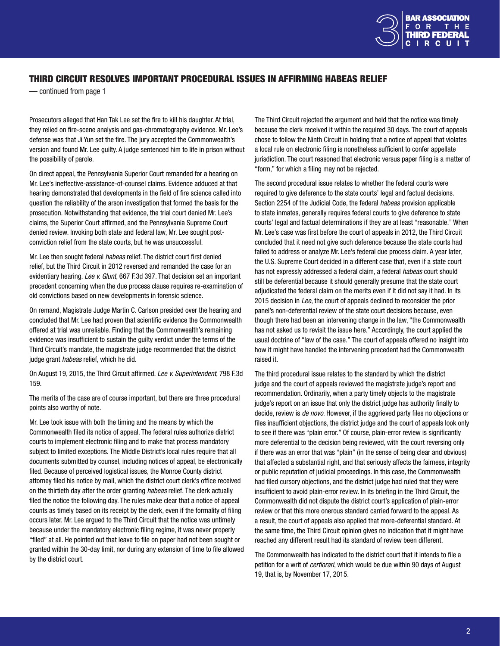

## <span id="page-1-0"></span>THIRD CIRCUIT RESOLVES IMPORTANT PROCEDURAL ISSUES IN AFFIRMING HABEAS RELIEF

— continued from page 1

Prosecutors alleged that Han Tak Lee set the fire to kill his daughter. At trial, they relied on fire-scene analysis and gas-chromatography evidence. Mr. Lee's defense was that Ji Yun set the fire. The jury accepted the Commonwealth's version and found Mr. Lee guilty. A judge sentenced him to life in prison without the possibility of parole.

On direct appeal, the Pennsylvania Superior Court remanded for a hearing on Mr. Lee's ineffective-assistance-of-counsel claims. Evidence adduced at that hearing demonstrated that developments in the field of fire science called into question the reliability of the arson investigation that formed the basis for the prosecution. Notwithstanding that evidence, the trial court denied Mr. Lee's claims, the Superior Court affirmed, and the Pennsylvania Supreme Court denied review. Invoking both state and federal law, Mr. Lee sought postconviction relief from the state courts, but he was unsuccessful.

Mr. Lee then sought federal *habeas* relief. The district court first denied relief, but the Third Circuit in 2012 reversed and remanded the case for an evidentiary hearing. *Lee v. Glunt*, 667 F.3d 397. That decision set an important precedent concerning when the due process clause requires re-examination of old convictions based on new developments in forensic science.

On remand, Magistrate Judge Martin C. Carlson presided over the hearing and concluded that Mr. Lee had proven that scientific evidence the Commonwealth offered at trial was unreliable. Finding that the Commonwealth's remaining evidence was insufficient to sustain the guilty verdict under the terms of the Third Circuit's mandate, the magistrate judge recommended that the district judge grant *habeas* relief, which he did.

On August 19, 2015, the Third Circuit affirmed. *Lee v. Superintendent*, 798 F.3d 159.

The merits of the case are of course important, but there are three procedural points also worthy of note.

Mr. Lee took issue with both the timing and the means by which the Commonwealth filed its notice of appeal. The federal rules authorize district courts to implement electronic filing and to make that process mandatory subject to limited exceptions. The Middle District's local rules require that all documents submitted by counsel, including notices of appeal, be electronically filed. Because of perceived logistical issues, the Monroe County district attorney filed his notice by mail, which the district court clerk's office received on the thirtieth day after the order granting *habeas* relief. The clerk actually filed the notice the following day. The rules make clear that a notice of appeal counts as timely based on its receipt by the clerk, even if the formality of filing occurs later. Mr. Lee argued to the Third Circuit that the notice was untimely because under the mandatory electronic filing regime, it was never properly "filed" at all. He pointed out that leave to file on paper had not been sought or granted within the 30-day limit, nor during any extension of time to file allowed by the district court.

The Third Circuit rejected the argument and held that the notice was timely because the clerk received it within the required 30 days. The court of appeals chose to follow the Ninth Circuit in holding that a notice of appeal that violates a local rule on electronic filing is nonetheless sufficient to confer appellate jurisdiction. The court reasoned that electronic versus paper filing is a matter of "form," for which a filing may not be rejected.

The second procedural issue relates to whether the federal courts were required to give deference to the state courts' legal and factual decisions. Section 2254 of the Judicial Code, the federal *habeas* provision applicable to state inmates, generally requires federal courts to give deference to state courts' legal and factual determinations if they are at least "reasonable." When Mr. Lee's case was first before the court of appeals in 2012, the Third Circuit concluded that it need not give such deference because the state courts had failed to address or analyze Mr. Lee's federal due process claim. A year later, the U.S. Supreme Court decided in a different case that, even if a state court has not expressly addressed a federal claim, a federal *habeas* court should still be deferential because it should generally presume that the state court adjudicated the federal claim on the merits even if it did not say it had. In its 2015 decision in *Lee*, the court of appeals declined to reconsider the prior panel's non-deferential review of the state court decisions because, even though there had been an intervening change in the law, "the Commonwealth has not asked us to revisit the issue here." Accordingly, the court applied the usual doctrine of "law of the case." The court of appeals offered no insight into how it might have handled the intervening precedent had the Commonwealth raised it.

The third procedural issue relates to the standard by which the district judge and the court of appeals reviewed the magistrate judge's report and recommendation. Ordinarily, when a party timely objects to the magistrate judge's report on an issue that only the district judge has authority finally to decide, review is *de novo*. However, if the aggrieved party files no objections or files insufficient objections, the district judge and the court of appeals look only to see if there was "plain error." Of course, plain-error review is significantly more deferential to the decision being reviewed, with the court reversing only if there was an error that was "plain" (in the sense of being clear and obvious) that affected a substantial right, and that seriously affects the fairness, integrity or public reputation of judicial proceedings. In this case, the Commonwealth had filed cursory objections, and the district judge had ruled that they were insufficient to avoid plain-error review. In its briefing in the Third Circuit, the Commonwealth did not dispute the district court's application of plain-error review or that this more onerous standard carried forward to the appeal. As a result, the court of appeals also applied that more-deferential standard. At the same time, the Third Circuit opinion gives no indication that it might have reached any different result had its standard of review been different.

The Commonwealth has indicated to the district court that it intends to file a petition for a writ of *certiorari*, which would be due within 90 days of August 19, that is, by November 17, 2015.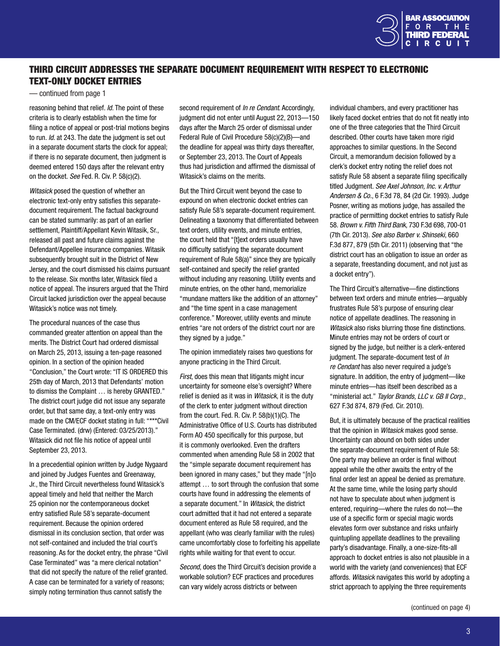

## <span id="page-2-0"></span>THIRD CIRCUIT ADDRESSES THE SEPARATE DOCUMENT REQUIREMENT WITH RESPECT TO ELECTRONIC TEXT-ONLY DOCKET ENTRIES

— continued from page 1

reasoning behind that relief. *Id*. The point of these criteria is to clearly establish when the time for filing a notice of appeal or post-trial motions begins to run. *Id*. at 243. The date the judgment is set out in a separate document starts the clock for appeal; if there is no separate document, then judgment is deemed entered 150 days after the relevant entry on the docket. *See* Fed. R. Civ. P. 58(c)(2).

*Witasick* posed the question of whether an electronic text-only entry satisfies this separatedocument requirement. The factual background can be stated summarily: as part of an earlier settlement, Plaintiff/Appellant Kevin Witasik, Sr., released all past and future claims against the Defendant/Appellee insurance companies. Witasik subsequently brought suit in the District of New Jersey, and the court dismissed his claims pursuant to the release. Six months later, Witasick filed a notice of appeal. The insurers argued that the Third Circuit lacked jurisdiction over the appeal because Witasick's notice was not timely.

The procedural nuances of the case thus commanded greater attention on appeal than the merits. The District Court had ordered dismissal on March 25, 2013, issuing a ten-page reasoned opinion. In a section of the opinion headed "Conclusion," the Court wrote: "IT IS ORDERED this 25th day of March, 2013 that Defendants' motion to dismiss the Complaint … is hereby GRANTED." The district court judge did not issue any separate order, but that same day, a text-only entry was made on the CM/ECF docket stating in full: "\*\*\*Civil Case Terminated. (drw) (Entered: 03/25/2013)." Witasick did not file his notice of appeal until September 23, 2013.

In a precedential opinion written by Judge Nygaard and joined by Judges Fuentes and Greenaway, Jr., the Third Circuit nevertheless found Witasick's appeal timely and held that neither the March 25 opinion nor the contemporaneous docket entry satisfied Rule 58's separate-document requirement. Because the opinion ordered dismissal in its conclusion section, that order was not self-contained and included the trial court's reasoning. As for the docket entry, the phrase "Civil Case Terminated" was "a mere clerical notation" that did not specify the nature of the relief granted. A case can be terminated for a variety of reasons; simply noting termination thus cannot satisfy the

second requirement of *In re Cendant*. Accordingly, judgment did not enter until August 22, 2013—150 days after the March 25 order of dismissal under Federal Rule of Civil Procedure 58(c)(2)(B)—and the deadline for appeal was thirty days thereafter, or September 23, 2013. The Court of Appeals thus had jurisdiction and affirmed the dismissal of Witasick's claims on the merits.

But the Third Circuit went beyond the case to expound on when electronic docket entries can satisfy Rule 58's separate-document requirement. Delineating a taxonomy that differentiated between text orders, utility events, and minute entries, the court held that "[t]ext orders usually have no difficulty satisfying the separate document requirement of Rule 58(a)" since they are typically self-contained and specify the relief granted without including any reasoning. Utility events and minute entries, on the other hand, memorialize "mundane matters like the addition of an attorney" and "the time spent in a case management conference." Moreover, utility events and minute entries "are not orders of the district court nor are they signed by a judge."

The opinion immediately raises two questions for anyone practicing in the Third Circuit.

*First*, does this mean that litigants might incur uncertainty for someone else's oversight? Where relief is denied as it was in *Witasick*, it is the duty of the clerk to enter judgment without direction from the court. Fed. R. Civ. P. 58(b)(1)(C). The Administrative Office of U.S. Courts has distributed Form AO 450 specifically for this purpose, but it is commonly overlooked. Even the drafters commented when amending Rule 58 in 2002 that the "simple separate document requirement has been ignored in many cases," but they made "[n]o attempt … to sort through the confusion that some courts have found in addressing the elements of a separate document." In *Witasick*, the district court admitted that it had not entered a separate document entered as Rule 58 required, and the appellant (who was clearly familiar with the rules) came uncomfortably close to forfeiting his appellate rights while waiting for that event to occur.

*Second*, does the Third Circuit's decision provide a workable solution? ECF practices and procedures can vary widely across districts or between

individual chambers, and every practitioner has likely faced docket entries that do not fit neatly into one of the three categories that the Third Circuit described. Other courts have taken more rigid approaches to similar questions. In the Second Circuit, a memorandum decision followed by a clerk's docket entry noting the relief does not satisfy Rule 58 absent a separate filing specifically titled Judgment. *See Axel Johnson, Inc. v. Arthur Andersen & Co.*, 6 F.3d 78, 84 (2d Cir. 1993). Judge Posner, writing as motions judge, has assailed the practice of permitting docket entries to satisfy Rule 58. *Brown v. Fifth Third Bank*, 730 F.3d 698, 700-01 (7th Cir. 2013). *See also Barber v. Shinseki*, 660 F.3d 877, 879 (5th Cir. 2011) (observing that "the district court has an obligation to issue an order as a separate, freestanding document, and not just as a docket entry").

The Third Circuit's alternative—fine distinctions between text orders and minute entries—arguably frustrates Rule 58's purpose of ensuring clear notice of appellate deadlines. The reasoning in *Witasick* also risks blurring those fine distinctions. Minute entries may not be orders of court or signed by the judge, but neither is a clerk-entered judgment. The separate-document test of *In re Cendant* has also never required a judge's signature. In addition, the entry of judgment—like minute entries—has itself been described as a "ministerial act." *Taylor Brands, LLC v. GB II Corp*., 627 F.3d 874, 879 (Fed. Cir. 2010).

But, it is ultimately because of the practical realities that the opinion in *Witasick* makes good sense. Uncertainty can abound on both sides under the separate-document requirement of Rule 58: One party may believe an order is final without appeal while the other awaits the entry of the final order lest an appeal be denied as premature. At the same time, while the losing party should not have to speculate about when judgment is entered, requiring—where the rules do not—the use of a specific form or special magic words elevates form over substance and risks unfairly quintupling appellate deadlines to the prevailing party's disadvantage. Finally, a one-size-fits-all approach to docket entries is also not plausible in a world with the variety (and conveniences) that ECF affords. *Witasick* navigates this world by adopting a strict approach to applying the three requirements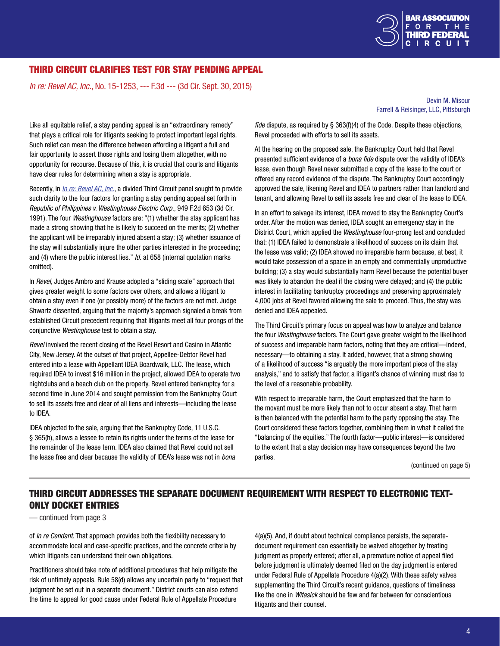

## THIRD CIRCUIT CLARIFIES TEST FOR STAY PENDING APPEAL

*In re: Revel AC, Inc.*, No. 15-1253, --- F.3d --- (3d Cir. Sept. 30, 2015)

Devin M. Misour Farrell & Reisinger, LLC, Pittsburgh

Like all equitable relief, a stay pending appeal is an "extraordinary remedy" that plays a critical role for litigants seeking to protect important legal rights. Such relief can mean the difference between affording a litigant a full and fair opportunity to assert those rights and losing them altogether, with no opportunity for recourse. Because of this, it is crucial that courts and litigants have clear rules for determining when a stay is appropriate.

Recently, in *[In re: Revel AC](http://www2.ca3.uscourts.gov/opinarch/151253p.pdf), Inc.*, a divided Third Circuit panel sought to provide such clarity to the four factors for granting a stay pending appeal set forth in *Republic of Philippines v. Westinghouse Electric Corp*., 949 F.2d 653 (3d Cir. 1991). The four *Westinghouse* factors are: "(1) whether the stay applicant has made a strong showing that he is likely to succeed on the merits; (2) whether the applicant will be irreparably injured absent a stay; (3) whether issuance of the stay will substantially injure the other parties interested in the proceeding; and (4) where the public interest lies." *Id.* at 658 (internal quotation marks omitted).

In *Revel*, Judges Ambro and Krause adopted a "sliding scale" approach that gives greater weight to some factors over others, and allows a litigant to obtain a stay even if one (or possibly more) of the factors are not met. Judge Shwartz dissented, arguing that the majority's approach signaled a break from established Circuit precedent requiring that litigants meet all four prongs of the conjunctive *Westinghouse* test to obtain a stay.

*Revel* involved the recent closing of the Revel Resort and Casino in Atlantic City, New Jersey. At the outset of that project, Appellee-Debtor Revel had entered into a lease with Appellant IDEA Boardwalk, LLC. The lease, which required IDEA to invest \$16 million in the project, allowed IDEA to operate two nightclubs and a beach club on the property. Revel entered bankruptcy for a second time in June 2014 and sought permission from the Bankruptcy Court to sell its assets free and clear of all liens and interests—including the lease to IDEA.

IDEA objected to the sale, arguing that the Bankruptcy Code, 11 U.S.C. § 365(h), allows a lessee to retain its rights under the terms of the lease for the remainder of the lease term. IDEA also claimed that Revel could not sell the lease free and clear because the validity of IDEA's lease was not in *bona*  *fide* dispute, as required by § 363(f)(4) of the Code. Despite these objections, Revel proceeded with efforts to sell its assets.

At the hearing on the proposed sale, the Bankruptcy Court held that Revel presented sufficient evidence of a *bona fide* dispute over the validity of IDEA's lease, even though Revel never submitted a copy of the lease to the court or offered any record evidence of the dispute. The Bankruptcy Court accordingly approved the sale, likening Revel and IDEA to partners rather than landlord and tenant, and allowing Revel to sell its assets free and clear of the lease to IDEA.

In an effort to salvage its interest, IDEA moved to stay the Bankruptcy Court's order. After the motion was denied, IDEA sought an emergency stay in the District Court, which applied the *Westinghouse* four-prong test and concluded that: (1) IDEA failed to demonstrate a likelihood of success on its claim that the lease was valid; (2) IDEA showed no irreparable harm because, at best, it would take possession of a space in an empty and commercially unproductive building; (3) a stay would substantially harm Revel because the potential buyer was likely to abandon the deal if the closing were delayed; and (4) the public interest in facilitating bankruptcy proceedings and preserving approximately 4,000 jobs at Revel favored allowing the sale to proceed. Thus, the stay was denied and IDEA appealed.

The Third Circuit's primary focus on appeal was how to analyze and balance the four *Westinghouse* factors. The Court gave greater weight to the likelihood of success and irreparable harm factors, noting that they are critical—indeed, necessary—to obtaining a stay. It added, however, that a strong showing of a likelihood of success "is arguably the more important piece of the stay analysis," and to satisfy that factor, a litigant's chance of winning must rise to the level of a reasonable probability.

With respect to irreparable harm, the Court emphasized that the harm to the movant must be more likely than not to occur absent a stay. That harm is then balanced with the potential harm to the party opposing the stay. The Court considered these factors together, combining them in what it called the "balancing of the equities." The fourth factor—public interest—is considered to the extent that a stay decision may have consequences beyond the two parties.

[\(continued on page 5](#page-2-0))

# THIRD CIRCUIT ADDRESSES THE SEPARATE DOCUMENT REQUIREMENT WITH RESPECT TO ELECTRONIC TEXT-ONLY DOCKET ENTRIES

— continued from page 3

of *In re Cendant*. That approach provides both the flexibility necessary to accommodate local and case-specific practices, and the concrete criteria by which litigants can understand their own obligations.

Practitioners should take note of additional procedures that help mitigate the risk of untimely appeals. Rule 58(d) allows any uncertain party to "request that judgment be set out in a separate document." District courts can also extend the time to appeal for good cause under Federal Rule of Appellate Procedure

4(a)(5). And, if doubt about technical compliance persists, the separatedocument requirement can essentially be waived altogether by treating judgment as properly entered; after all, a premature notice of appeal filed before judgment is ultimately deemed filed on the day judgment is entered under Federal Rule of Appellate Procedure 4(a)(2). With these safety valves supplementing the Third Circuit's recent guidance, questions of timeliness like the one in *Witasick* should be few and far between for conscientious litigants and their counsel.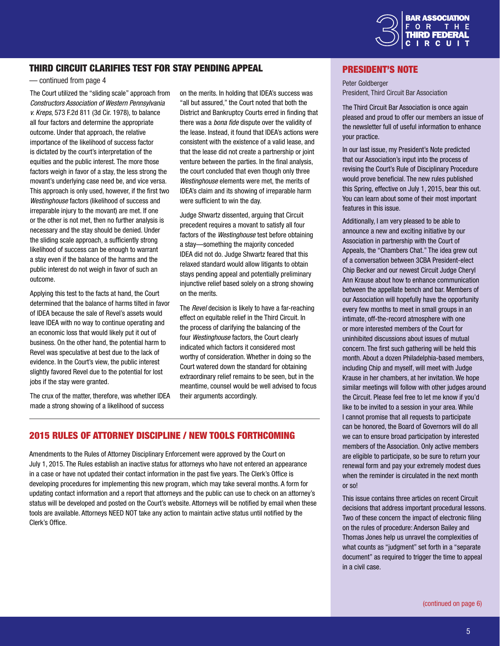

### THIRD CIRCUIT CLARIFIES TEST FOR STAY PENDING APPEAL

#### — continued from page 4

The Court utilized the "sliding scale" approach from *Constructors Association of Western Pennsylvania v. Kreps*, 573 F.2d 811 (3d Cir. 1978), to balance all four factors and determine the appropriate outcome. Under that approach, the relative importance of the likelihood of success factor is dictated by the court's interpretation of the equities and the public interest. The more those factors weigh in favor of a stay, the less strong the movant's underlying case need be, and vice versa. This approach is only used, however, if the first two *Westinghouse* factors (likelihood of success and irreparable injury to the movant) are met. If one or the other is not met, then no further analysis is necessary and the stay should be denied. Under the sliding scale approach, a sufficiently strong likelihood of success can be enough to warrant a stay even if the balance of the harms and the public interest do not weigh in favor of such an outcome.

Applying this test to the facts at hand, the Court determined that the balance of harms tilted in favor of IDEA because the sale of Revel's assets would leave IDEA with no way to continue operating and an economic loss that would likely put it out of business. On the other hand, the potential harm to Revel was speculative at best due to the lack of evidence. In the Court's view, the public interest slightly favored Revel due to the potential for lost jobs if the stay were granted.

The crux of the matter, therefore, was whether IDEA made a strong showing of a likelihood of success

on the merits. In holding that IDEA's success was "all but assured," the Court noted that both the District and Bankruptcy Courts erred in finding that there was a *bona fide* dispute over the validity of the lease. Instead, it found that IDEA's actions were consistent with the existence of a valid lease, and that the lease did not create a partnership or joint venture between the parties. In the final analysis, the court concluded that even though only three *Westinghouse* elements were met, the merits of IDEA's claim and its showing of irreparable harm were sufficient to win the day.

Judge Shwartz dissented, arguing that Circuit precedent requires a movant to satisfy all four factors of the *Westinghouse* test before obtaining a stay—something the majority conceded IDEA did not do. Judge Shwartz feared that this relaxed standard would allow litigants to obtain stays pending appeal and potentially preliminary injunctive relief based solely on a strong showing on the merits.

The *Revel* decision is likely to have a far-reaching effect on equitable relief in the Third Circuit. In the process of clarifying the balancing of the four *Westinghouse* factors, the Court clearly indicated which factors it considered most worthy of consideration. Whether in doing so the Court watered down the standard for obtaining extraordinary relief remains to be seen, but in the meantime, counsel would be well advised to focus their arguments accordingly.

#### 2015 RULES OF ATTORNEY DISCIPLINE / NEW TOOLS FORTHCOMING

Amendments to the Rules of Attorney Disciplinary Enforcement were approved by the Court on July 1, 2015. The Rules establish an inactive status for attorneys who have not entered an appearance in a case or have not updated their contact information in the past five years. The Clerk's Office is developing procedures for implementing this new program, which may take several months. A form for updating contact information and a report that attorneys and the public can use to check on an attorney's status will be developed and posted on the Court's website. Attorneys will be notified by email when these tools are available. Attorneys NEED NOT take any action to maintain active status until notified by the Clerk's Office.

#### President's Note

Peter Goldberger President, Third Circuit Bar Association

The Third Circuit Bar Association is once again pleased and proud to offer our members an issue of the newsletter full of useful information to enhance your practice.

In our last issue, my President's Note predicted that our Association's input into the process of revising the Court's Rule of Disciplinary Procedure would prove beneficial. The new rules published this Spring, effective on July 1, 2015, bear this out. You can learn about some of their most important features in this issue.

Additionally, I am very pleased to be able to announce a new and exciting initiative by our Association in partnership with the Court of Appeals, the "Chambers Chat." The idea grew out of a conversation between 3CBA President-elect Chip Becker and our newest Circuit Judge Cheryl Ann Krause about how to enhance communication between the appellate bench and bar. Members of our Association will hopefully have the opportunity every few months to meet in small groups in an intimate, off-the-record atmosphere with one or more interested members of the Court for uninhibited discussions about issues of mutual concern. The first such gathering will be held this month. About a dozen Philadelphia-based members, including Chip and myself, will meet with Judge Krause in her chambers, at her invitation. We hope similar meetings will follow with other judges around the Circuit. Please feel free to let me know if you'd like to be invited to a session in your area. While I cannot promise that all requests to participate can be honored, the Board of Governors will do all we can to ensure broad participation by interested members of the Association. Only active members are eligible to participate, so be sure to return your renewal form and pay your extremely modest dues when the reminder is circulated in the next month or so!

This issue contains three articles on recent Circuit decisions that address important procedural lessons. Two of these concern the impact of electronic filing on the rules of procedure: Anderson Bailey and Thomas Jones help us unravel the complexities of what counts as "judgment" set forth in a "separate document" as required to trigger the time to appeal in a civil case.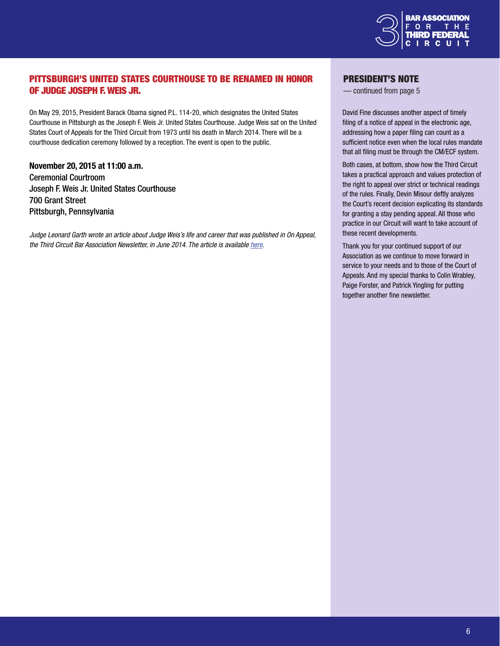

# PITTSBURGH'S UNITED STATES COURTHOUSE TO BE RENAMED IN HONOR OF JUDGE JOSEPH F. WEIS JR.

On May 29, 2015, President Barack Obama signed P.L. 114-20, which designates the United States Courthouse in Pittsburgh as the Joseph F. Weis Jr. United States Courthouse. Judge Weis sat on the United States Court of Appeals for the Third Circuit from 1973 until his death in March 2014. There will be a courthouse dedication ceremony followed by a reception. The event is open to the public.

November 20, 2015 at 11:00 a.m. Ceremonial Courtroom Joseph F. Weis Jr. United States Courthouse 700 Grant Street Pittsburgh, Pennsylvania

*Judge Leonard Garth wrote an article about Judge Weis's life and career that was published in On Appeal, the Third Circuit Bar Association Newsletter, in June 2014. The article is available [here.](http://www.thirdcircuitbar.org/newsletters/Third-Circuit-Bar-Association-Newsletter-June-2014.pdf)*

#### President's Note

— continued from page 5

David Fine discusses another aspect of timely filing of a notice of appeal in the electronic age, addressing how a paper filing can count as a sufficient notice even when the local rules mandate that all filing must be through the CM/ECF system.

Both cases, at bottom, show how the Third Circuit takes a practical approach and values protection of the right to appeal over strict or technical readings of the rules. Finally, Devin Misour deftly analyzes the Court's recent decision explicating its standards for granting a stay pending appeal. All those who practice in our Circuit will want to take account of these recent developments.

Thank you for your continued support of our Association as we continue to move forward in service to your needs and to those of the Court of Appeals. And my special thanks to Colin Wrabley, Paige Forster, and Patrick Yingling for putting together another fine newsletter.